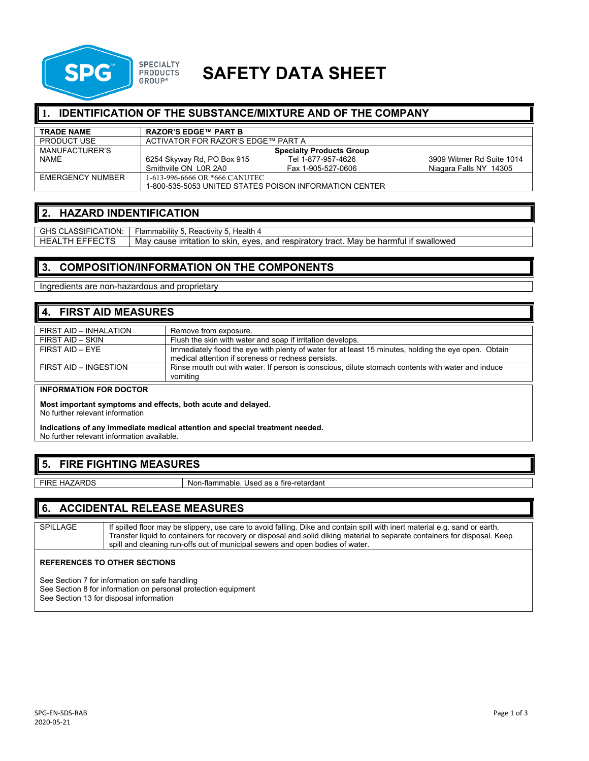

# **SAFETY DATA SHEET**

## **1. IDENTIFICATION OF THE SUBSTANCE/MIXTURE AND OF THE COMPANY**

| <b>TRADE NAME</b>  | <b>RAZOR'S EDGE™ PART B</b>                             |                    |                           |
|--------------------|---------------------------------------------------------|--------------------|---------------------------|
| <b>PRODUCT USE</b> | ACTIVATOR FOR RAZOR'S EDGE™ PART A                      |                    |                           |
| MANUFACTURER'S     | <b>Specialty Products Group</b>                         |                    |                           |
| <b>NAME</b>        | 6254 Skyway Rd, PO Box 915                              | Tel 1-877-957-4626 | 3909 Witmer Rd Suite 1014 |
|                    | Smithville ON L0R 2A0                                   | Fax 1-905-527-0606 | Niagara Falls NY 14305    |
| EMERGENCY NUMBER   | 1-613-996-6666 OR *666 CANUTEC                          |                    |                           |
|                    | I-800-535-5053 UNITED STATES POISON INFORMATION CENTER. |                    |                           |

#### **2. HAZARD INDENTIFICATION**

GHS CLASSIFICATION: | Flammability 5, Reactivity 5, Health 4 HEALTH EFFECTS | May cause irritation to skin, eyes, and respiratory tract. May be harmful if swallowed

# **3. COMPOSITION/INFORMATION ON THE COMPONENTS**

Ingredients are non-hazardous and proprietary

# **4. FIRST AID MEASURES**

| FIRST AID - INHALATION | Remove from exposure.                                                                                                                                      |
|------------------------|------------------------------------------------------------------------------------------------------------------------------------------------------------|
| FIRST AID - SKIN       | Flush the skin with water and soap if irritation develops.                                                                                                 |
| $FIRST$ AID $-$ FYF    | Immediately flood the eye with plenty of water for at least 15 minutes, holding the eye open. Obtain<br>medical attention if soreness or redness persists. |
| FIRST AID - INGESTION  | Rinse mouth out with water. If person is conscious, dilute stomach contents with water and induce<br>vomiting                                              |

#### **INFORMATION FOR DOCTOR**

**Most important symptoms and effects, both acute and delayed.**

No further relevant information

**Indications of any immediate medical attention and special treatment needed.** No further relevant information available.

# **5. FIRE FIGHTING MEASURES**

FIRE HAZARDS Non-flammable. Used as a fire-retardant

## **6. ACCIDENTAL RELEASE MEASURES**

SPILLAGE | If spilled floor may be slippery, use care to avoid falling. Dike and contain spill with inert material e.g. sand or earth. Transfer liquid to containers for recovery or disposal and solid diking material to separate containers for disposal. Keep spill and cleaning run-offs out of municipal sewers and open bodies of water.

#### **REFERENCES TO OTHER SECTIONS**

See Section 7 for information on safe handling See Section 8 for information on personal protection equipment See Section 13 for disposal information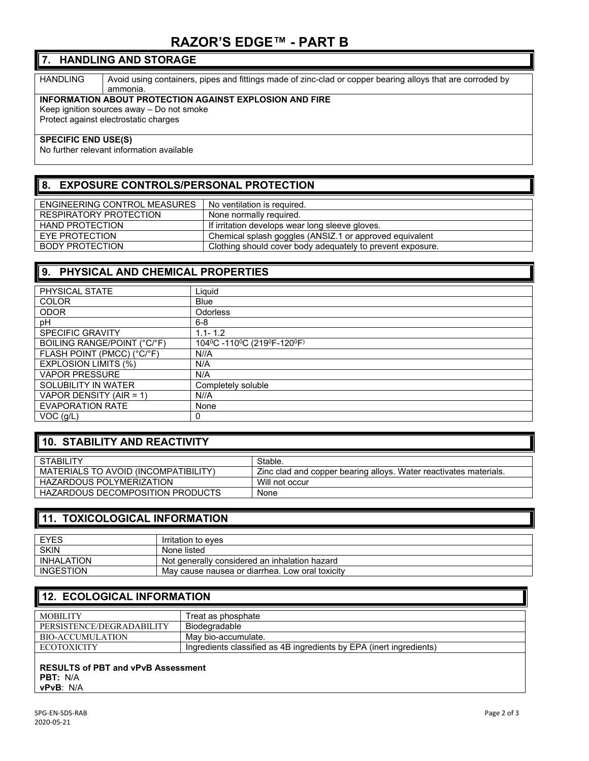# **RAZOR'S EDGE™ - PART B**

## **7. HANDLING AND STORAGE**

HANDLING | Avoid using containers, pipes and fittings made of zinc-clad or copper bearing alloys that are corroded by ammonia.

#### **INFORMATION ABOUT PROTECTION AGAINST EXPLOSION AND FIRE**

Keep ignition sources away – Do not smoke

Protect against electrostatic charges

#### **SPECIFIC END USE(S)**

No further relevant information available

# **8. EXPOSURE CONTROLS/PERSONAL PROTECTION**

| ENGINEERING CONTROL MEASURES | I No ventilation is required.                              |
|------------------------------|------------------------------------------------------------|
| RESPIRATORY PROTECTION       | None normally required.                                    |
| HAND PROTECTION              | If irritation develops wear long sleeve gloves.            |
| EYE PROTECTION               | Chemical splash goggles (ANSIZ.1 or approved equivalent    |
| <b>BODY PROTECTION</b>       | Clothing should cover body adequately to prevent exposure. |

## **9. PHYSICAL AND CHEMICAL PROPERTIES**

| PHYSICAL STATE              | Liquid                     |
|-----------------------------|----------------------------|
| <b>COLOR</b>                | <b>Blue</b>                |
| <b>ODOR</b>                 | <b>Odorless</b>            |
| рH                          | $6 - 8$                    |
| <b>SPECIFIC GRAVITY</b>     | $1.1 - 1.2$                |
| BOILING RANGE/POINT (°C/°F) | 104°C -110°C (219°F-120°F) |
| FLASH POINT (PMCC) (°C/°F)  | N//A                       |
| <b>EXPLOSION LIMITS (%)</b> | N/A                        |
| <b>VAPOR PRESSURE</b>       | N/A                        |
| SOLUBILITY IN WATER         | Completely soluble         |
| VAPOR DENSITY (AIR = 1)     | N//A                       |
| <b>EVAPORATION RATE</b>     | None                       |
| $VOC$ ( $g/L$ )             | 0                          |

# **10. STABILITY AND REACTIVITY**

| STABILITY                            | Stable.                                                           |
|--------------------------------------|-------------------------------------------------------------------|
| MATERIALS TO AVOID (INCOMPATIBILITY) | Zinc clad and copper bearing alloys. Water reactivates materials. |
| HAZARDOUS POLYMERIZATION             | Will not occur                                                    |
| HAZARDOUS DECOMPOSITION PRODUCTS     | None                                                              |

## **11. TOXICOLOGICAL INFORMATION**

| Irritation to eves                              |
|-------------------------------------------------|
| None listed                                     |
| Not generally considered an inhalation hazard   |
| May cause nausea or diarrhea. Low oral toxicity |
|                                                 |

# **12. ECOLOGICAL INFORMATION**

| <b>MOBILITY</b>           | Treat as phosphate                                                  |
|---------------------------|---------------------------------------------------------------------|
| PERSISTENCE/DEGRADABILITY | Biodegradable                                                       |
| BIO-ACCUMULATION          | Mav bio-accumulate.                                                 |
| ECOTOXICITY               | Ingredients classified as 4B ingredients by EPA (inert ingredients) |
|                           |                                                                     |

#### **RESULTS of PBT and vPvB Assessment PBT:** N/A **vPvB**: N/A